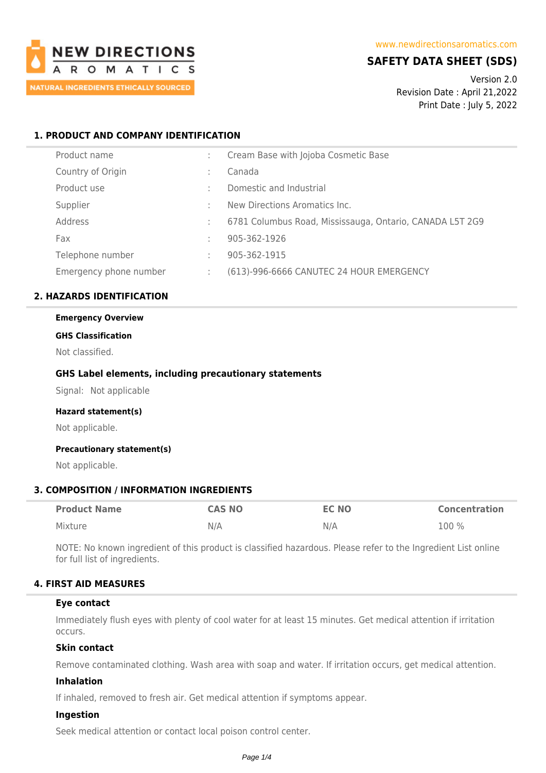

## **SAFETY DATA SHEET (SDS)**

Version 2.0 Revision Date : April 21,2022 Print Date : July 5, 2022

## **1. PRODUCT AND COMPANY IDENTIFICATION**

| Product name           |    | Cream Base with Jojoba Cosmetic Base                     |
|------------------------|----|----------------------------------------------------------|
| Country of Origin      | ٠  | Canada                                                   |
| Product use            |    | Domestic and Industrial                                  |
| Supplier               | ٠  | New Directions Aromatics Inc.                            |
| Address                | ÷  | 6781 Columbus Road, Mississauga, Ontario, CANADA L5T 2G9 |
| Fax                    | ٠  | 905-362-1926                                             |
| Telephone number       | ٠. | 905-362-1915                                             |
| Emergency phone number |    | (613)-996-6666 CANUTEC 24 HOUR EMERGENCY                 |

### **2. HAZARDS IDENTIFICATION**

# **Emergency Overview**

### **GHS Classification**

Not classified.

### **GHS Label elements, including precautionary statements**

Signal: Not applicable

#### **Hazard statement(s)**

Not applicable.

#### **Precautionary statement(s)**

Not applicable.

### **3. COMPOSITION / INFORMATION INGREDIENTS**

| <b>Product Name</b> | <b>CAS NO</b> | <b>EC NO</b> | <b>Concentration</b> |
|---------------------|---------------|--------------|----------------------|
| Mixture             | N/A           | N/A          | $100\%$              |

NOTE: No known ingredient of this product is classified hazardous. Please refer to the Ingredient List online for full list of ingredients.

### **4. FIRST AID MEASURES**

#### **Eye contact**

Immediately flush eyes with plenty of cool water for at least 15 minutes. Get medical attention if irritation occurs.

### **Skin contact**

Remove contaminated clothing. Wash area with soap and water. If irritation occurs, get medical attention.

### **Inhalation**

If inhaled, removed to fresh air. Get medical attention if symptoms appear.

#### **Ingestion**

Seek medical attention or contact local poison control center.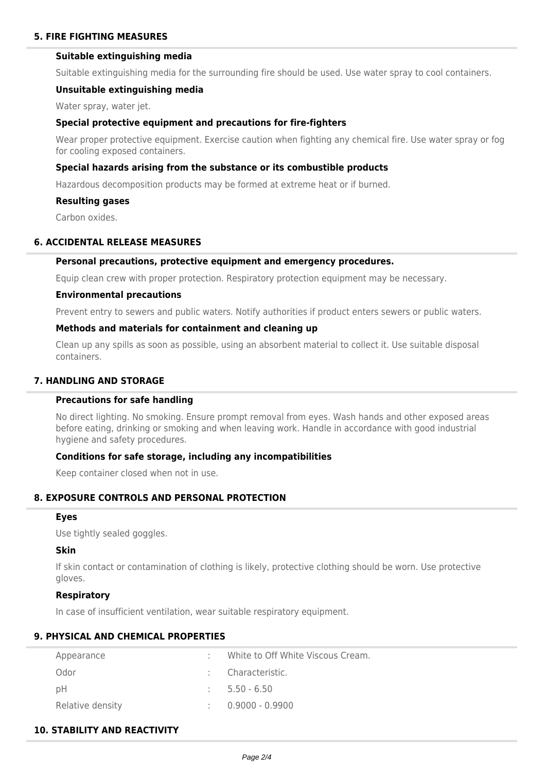### **Suitable extinguishing media**

Suitable extinguishing media for the surrounding fire should be used. Use water spray to cool containers.

#### **Unsuitable extinguishing media**

Water spray, water jet.

#### **Special protective equipment and precautions for fire-fighters**

Wear proper protective equipment. Exercise caution when fighting any chemical fire. Use water spray or fog for cooling exposed containers.

#### **Special hazards arising from the substance or its combustible products**

Hazardous decomposition products may be formed at extreme heat or if burned.

#### **Resulting gases**

Carbon oxides.

### **6. ACCIDENTAL RELEASE MEASURES**

### **Personal precautions, protective equipment and emergency procedures.**

Equip clean crew with proper protection. Respiratory protection equipment may be necessary.

#### **Environmental precautions**

Prevent entry to sewers and public waters. Notify authorities if product enters sewers or public waters.

### **Methods and materials for containment and cleaning up**

Clean up any spills as soon as possible, using an absorbent material to collect it. Use suitable disposal containers.

## **7. HANDLING AND STORAGE**

### **Precautions for safe handling**

No direct lighting. No smoking. Ensure prompt removal from eyes. Wash hands and other exposed areas before eating, drinking or smoking and when leaving work. Handle in accordance with good industrial hygiene and safety procedures.

### **Conditions for safe storage, including any incompatibilities**

Keep container closed when not in use.

### **8. EXPOSURE CONTROLS AND PERSONAL PROTECTION**

### **Eyes**

Use tightly sealed goggles.

## **Skin**

If skin contact or contamination of clothing is likely, protective clothing should be worn. Use protective gloves.

## **Respiratory**

In case of insufficient ventilation, wear suitable respiratory equipment.

## **9. PHYSICAL AND CHEMICAL PROPERTIES**

| Appearance       | White to Off White Viscous Cream. |
|------------------|-----------------------------------|
| Odor             | Characteristic.                   |
| рH               | $5.50 - 6.50$                     |
| Relative density | $0.9000 - 0.9900$                 |

## **10. STABILITY AND REACTIVITY**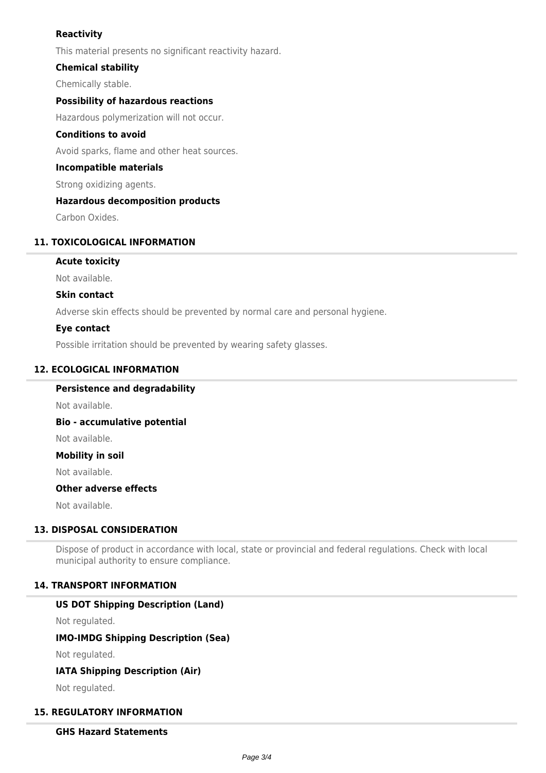## **Reactivity**

This material presents no significant reactivity hazard.

### **Chemical stability**

Chemically stable.

### **Possibility of hazardous reactions**

Hazardous polymerization will not occur.

### **Conditions to avoid**

Avoid sparks, flame and other heat sources.

### **Incompatible materials**

Strong oxidizing agents.

### **Hazardous decomposition products**

Carbon Oxides.

### **11. TOXICOLOGICAL INFORMATION**

### **Acute toxicity**

Not available.

### **Skin contact**

Adverse skin effects should be prevented by normal care and personal hygiene.

### **Eye contact**

Possible irritation should be prevented by wearing safety glasses.

### **12. ECOLOGICAL INFORMATION**

## **Persistence and degradability**

Not available.

**Bio - accumulative potential**

Not available.

**Mobility in soil**

Not available.

## **Other adverse effects**

Not available.

### **13. DISPOSAL CONSIDERATION**

Dispose of product in accordance with local, state or provincial and federal regulations. Check with local municipal authority to ensure compliance.

#### **14. TRANSPORT INFORMATION**

#### **US DOT Shipping Description (Land)**

Not regulated.

## **IMO-IMDG Shipping Description (Sea)**

Not regulated.

### **IATA Shipping Description (Air)**

Not regulated.

### **15. REGULATORY INFORMATION**

## **GHS Hazard Statements**